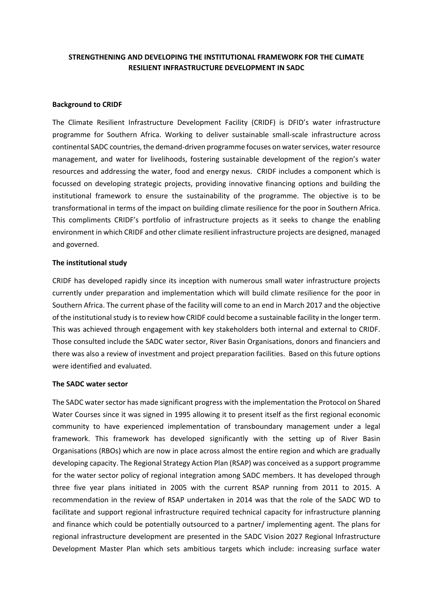## **STRENGTHENING AND DEVELOPING THE INSTITUTIONAL FRAMEWORK FOR THE CLIMATE RESILIENT INFRASTRUCTURE DEVELOPMENT IN SADC**

#### **Background to CRIDF**

The Climate Resilient Infrastructure Development Facility (CRIDF) is DFID's water infrastructure programme for Southern Africa. Working to deliver sustainable small-scale infrastructure across continental SADC countries, the demand-driven programme focuses on water services, water resource management, and water for livelihoods, fostering sustainable development of the region's water resources and addressing the water, food and energy nexus. CRIDF includes a component which is focussed on developing strategic projects, providing innovative financing options and building the institutional framework to ensure the sustainability of the programme. The objective is to be transformational in terms of the impact on building climate resilience for the poor in Southern Africa. This compliments CRIDF's portfolio of infrastructure projects as it seeks to change the enabling environment in which CRIDF and other climate resilient infrastructure projects are designed, managed and governed.

#### **The institutional study**

CRIDF has developed rapidly since its inception with numerous small water infrastructure projects currently under preparation and implementation which will build climate resilience for the poor in Southern Africa. The current phase of the facility will come to an end in March 2017 and the objective of the institutional study is to review how CRIDF could become a sustainable facility in the longer term. This was achieved through engagement with key stakeholders both internal and external to CRIDF. Those consulted include the SADC water sector, River Basin Organisations, donors and financiers and there was also a review of investment and project preparation facilities. Based on this future options were identified and evaluated.

### **The SADC water sector**

The SADC water sector has made significant progress with the implementation the Protocol on Shared Water Courses since it was signed in 1995 allowing it to present itself as the first regional economic community to have experienced implementation of transboundary management under a legal framework. This framework has developed significantly with the setting up of River Basin Organisations (RBOs) which are now in place across almost the entire region and which are gradually developing capacity. The Regional Strategy Action Plan (RSAP) was conceived as a support programme for the water sector policy of regional integration among SADC members. It has developed through three five year plans initiated in 2005 with the current RSAP running from 2011 to 2015. A recommendation in the review of RSAP undertaken in 2014 was that the role of the SADC WD to facilitate and support regional infrastructure required technical capacity for infrastructure planning and finance which could be potentially outsourced to a partner/ implementing agent. The plans for regional infrastructure development are presented in the SADC Vision 2027 Regional Infrastructure Development Master Plan which sets ambitious targets which include: increasing surface water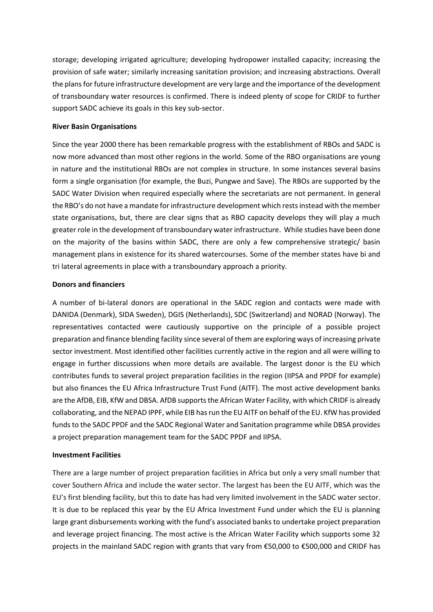storage; developing irrigated agriculture; developing hydropower installed capacity; increasing the provision of safe water; similarly increasing sanitation provision; and increasing abstractions. Overall the plans for future infrastructure development are very large and the importance of the development of transboundary water resources is confirmed. There is indeed plenty of scope for CRIDF to further support SADC achieve its goals in this key sub-sector.

### **River Basin Organisations**

Since the year 2000 there has been remarkable progress with the establishment of RBOs and SADC is now more advanced than most other regions in the world. Some of the RBO organisations are young in nature and the institutional RBOs are not complex in structure. In some instances several basins form a single organisation (for example, the Buzi, Pungwe and Save). The RBOs are supported by the SADC Water Division when required especially where the secretariats are not permanent. In general the RBO's do not have a mandate for infrastructure development which rests instead with the member state organisations, but, there are clear signs that as RBO capacity develops they will play a much greater role in the development of transboundary water infrastructure. While studies have been done on the majority of the basins within SADC, there are only a few comprehensive strategic/ basin management plans in existence for its shared watercourses. Some of the member states have bi and tri lateral agreements in place with a transboundary approach a priority.

#### **Donors and financiers**

A number of bi-lateral donors are operational in the SADC region and contacts were made with DANIDA (Denmark), SIDA Sweden), DGIS (Netherlands), SDC (Switzerland) and NORAD (Norway). The representatives contacted were cautiously supportive on the principle of a possible project preparation and finance blending facility since several of them are exploring ways of increasing private sector investment. Most identified other facilities currently active in the region and all were willing to engage in further discussions when more details are available. The largest donor is the EU which contributes funds to several project preparation facilities in the region (IIPSA and PPDF for example) but also finances the EU Africa Infrastructure Trust Fund (AITF). The most active development banks are the AfDB, EIB, KfW and DBSA. AfDB supports the African Water Facility, with which CRIDF is already collaborating, and the NEPAD IPPF, while EIB has run the EU AITF on behalf of the EU. KfW has provided funds to the SADC PPDF and the SADC Regional Water and Sanitation programme while DBSA provides a project preparation management team for the SADC PPDF and IIPSA.

#### **Investment Facilities**

There are a large number of project preparation facilities in Africa but only a very small number that cover Southern Africa and include the water sector. The largest has been the EU AITF, which was the EU's first blending facility, but this to date has had very limited involvement in the SADC water sector. It is due to be replaced this year by the EU Africa Investment Fund under which the EU is planning large grant disbursements working with the fund's associated banks to undertake project preparation and leverage project financing. The most active is the African Water Facility which supports some 32 projects in the mainland SADC region with grants that vary from €50,000 to €500,000 and CRIDF has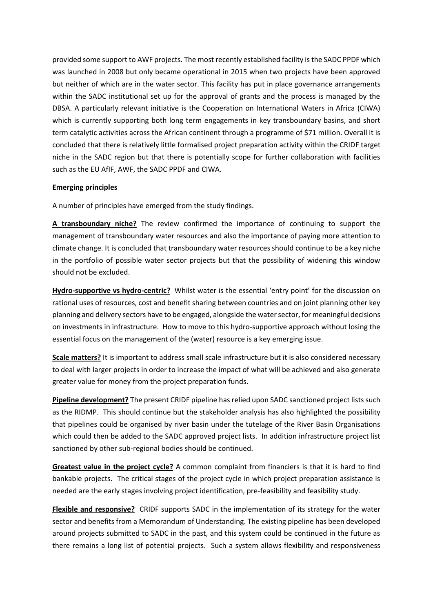provided some support to AWF projects. The most recently established facility is the SADC PPDF which was launched in 2008 but only became operational in 2015 when two projects have been approved but neither of which are in the water sector. This facility has put in place governance arrangements within the SADC institutional set up for the approval of grants and the process is managed by the DBSA. A particularly relevant initiative is the Cooperation on International Waters in Africa (CIWA) which is currently supporting both long term engagements in key transboundary basins, and short term catalytic activities across the African continent through a programme of \$71 million. Overall it is concluded that there is relatively little formalised project preparation activity within the CRIDF target niche in the SADC region but that there is potentially scope for further collaboration with facilities such as the EU AfIF, AWF, the SADC PPDF and CIWA.

## **Emerging principles**

A number of principles have emerged from the study findings.

**A transboundary niche?** The review confirmed the importance of continuing to support the management of transboundary water resources and also the importance of paying more attention to climate change. It is concluded that transboundary water resources should continue to be a key niche in the portfolio of possible water sector projects but that the possibility of widening this window should not be excluded.

**Hydro-supportive vs hydro-centric?** Whilst water is the essential 'entry point' for the discussion on rational uses of resources, cost and benefit sharing between countries and on joint planning other key planning and delivery sectors have to be engaged, alongside the water sector, for meaningful decisions on investments in infrastructure. How to move to this hydro-supportive approach without losing the essential focus on the management of the (water) resource is a key emerging issue.

**Scale matters?** It is important to address small scale infrastructure but it is also considered necessary to deal with larger projects in order to increase the impact of what will be achieved and also generate greater value for money from the project preparation funds.

**Pipeline development?** The present CRIDF pipeline has relied upon SADC sanctioned project lists such as the RIDMP. This should continue but the stakeholder analysis has also highlighted the possibility that pipelines could be organised by river basin under the tutelage of the River Basin Organisations which could then be added to the SADC approved project lists. In addition infrastructure project list sanctioned by other sub-regional bodies should be continued.

**Greatest value in the project cycle?** A common complaint from financiers is that it is hard to find bankable projects. The critical stages of the project cycle in which project preparation assistance is needed are the early stages involving project identification, pre-feasibility and feasibility study.

**Flexible and responsive?** CRIDF supports SADC in the implementation of its strategy for the water sector and benefits from a Memorandum of Understanding. The existing pipeline has been developed around projects submitted to SADC in the past, and this system could be continued in the future as there remains a long list of potential projects. Such a system allows flexibility and responsiveness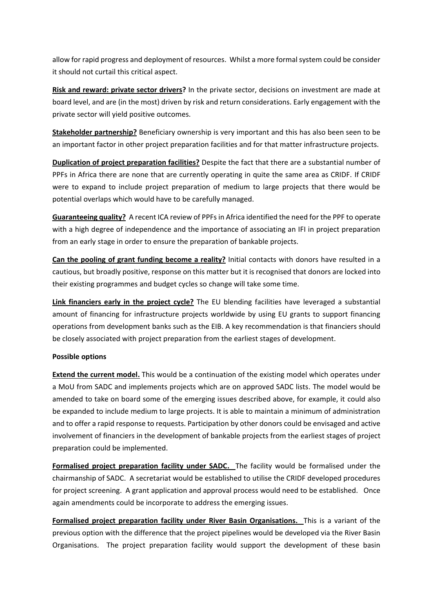allow for rapid progress and deployment of resources. Whilst a more formal system could be consider it should not curtail this critical aspect.

**Risk and reward: private sector drivers?** In the private sector, decisions on investment are made at board level, and are (in the most) driven by risk and return considerations. Early engagement with the private sector will yield positive outcomes.

**Stakeholder partnership?** Beneficiary ownership is very important and this has also been seen to be an important factor in other project preparation facilities and for that matter infrastructure projects.

**Duplication of project preparation facilities?** Despite the fact that there are a substantial number of PPFs in Africa there are none that are currently operating in quite the same area as CRIDF. If CRIDF were to expand to include project preparation of medium to large projects that there would be potential overlaps which would have to be carefully managed.

**Guaranteeing quality?** A recent ICA review of PPFs in Africa identified the need for the PPF to operate with a high degree of independence and the importance of associating an IFI in project preparation from an early stage in order to ensure the preparation of bankable projects.

**Can the pooling of grant funding become a reality?** Initial contacts with donors have resulted in a cautious, but broadly positive, response on this matter but it is recognised that donors are locked into their existing programmes and budget cycles so change will take some time.

**Link financiers early in the project cycle?** The EU blending facilities have leveraged a substantial amount of financing for infrastructure projects worldwide by using EU grants to support financing operations from development banks such as the EIB. A key recommendation is that financiers should be closely associated with project preparation from the earliest stages of development.

# **Possible options**

**Extend the current model.** This would be a continuation of the existing model which operates under a MoU from SADC and implements projects which are on approved SADC lists. The model would be amended to take on board some of the emerging issues described above, for example, it could also be expanded to include medium to large projects. It is able to maintain a minimum of administration and to offer a rapid response to requests. Participation by other donors could be envisaged and active involvement of financiers in the development of bankable projects from the earliest stages of project preparation could be implemented.

**Formalised project preparation facility under SADC.** The facility would be formalised under the chairmanship of SADC. A secretariat would be established to utilise the CRIDF developed procedures for project screening. A grant application and approval process would need to be established. Once again amendments could be incorporate to address the emerging issues.

**Formalised project preparation facility under River Basin Organisations.** This is a variant of the previous option with the difference that the project pipelines would be developed via the River Basin Organisations. The project preparation facility would support the development of these basin